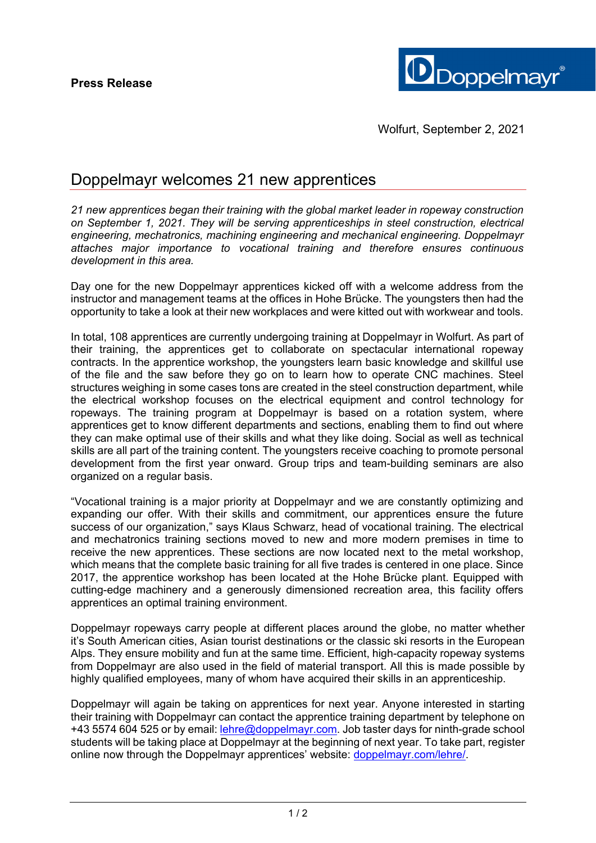

# Doppelmayr welcomes 21 new apprentices

*21 new apprentices began their training with the global market leader in ropeway construction on September 1, 2021. They will be serving apprenticeships in steel construction, electrical engineering, mechatronics, machining engineering and mechanical engineering. Doppelmayr attaches major importance to vocational training and therefore ensures continuous development in this area.* 

Day one for the new Doppelmayr apprentices kicked off with a welcome address from the instructor and management teams at the offices in Hohe Brücke. The youngsters then had the opportunity to take a look at their new workplaces and were kitted out with workwear and tools.

In total, 108 apprentices are currently undergoing training at Doppelmayr in Wolfurt. As part of their training, the apprentices get to collaborate on spectacular international ropeway contracts. In the apprentice workshop, the youngsters learn basic knowledge and skillful use of the file and the saw before they go on to learn how to operate CNC machines. Steel structures weighing in some cases tons are created in the steel construction department, while the electrical workshop focuses on the electrical equipment and control technology for ropeways. The training program at Doppelmayr is based on a rotation system, where apprentices get to know different departments and sections, enabling them to find out where they can make optimal use of their skills and what they like doing. Social as well as technical skills are all part of the training content. The youngsters receive coaching to promote personal development from the first year onward. Group trips and team-building seminars are also organized on a regular basis.

"Vocational training is a major priority at Doppelmayr and we are constantly optimizing and expanding our offer. With their skills and commitment, our apprentices ensure the future success of our organization," says Klaus Schwarz, head of vocational training. The electrical and mechatronics training sections moved to new and more modern premises in time to receive the new apprentices. These sections are now located next to the metal workshop, which means that the complete basic training for all five trades is centered in one place. Since 2017, the apprentice workshop has been located at the Hohe Brücke plant. Equipped with cutting-edge machinery and a generously dimensioned recreation area, this facility offers apprentices an optimal training environment.

Doppelmayr ropeways carry people at different places around the globe, no matter whether it's South American cities, Asian tourist destinations or the classic ski resorts in the European Alps. They ensure mobility and fun at the same time. Efficient, high-capacity ropeway systems from Doppelmayr are also used in the field of material transport. All this is made possible by highly qualified employees, many of whom have acquired their skills in an apprenticeship.

Doppelmayr will again be taking on apprentices for next year. Anyone interested in starting their training with Doppelmayr can contact the apprentice training department by telephone on +43 5574 604 525 or by email: lehre@doppelmayr.com. Job taster days for ninth-grade school students will be taking place at Doppelmayr at the beginning of next year. To take part, register online now through the Doppelmayr apprentices' website: doppelmayr.com/lehre/.